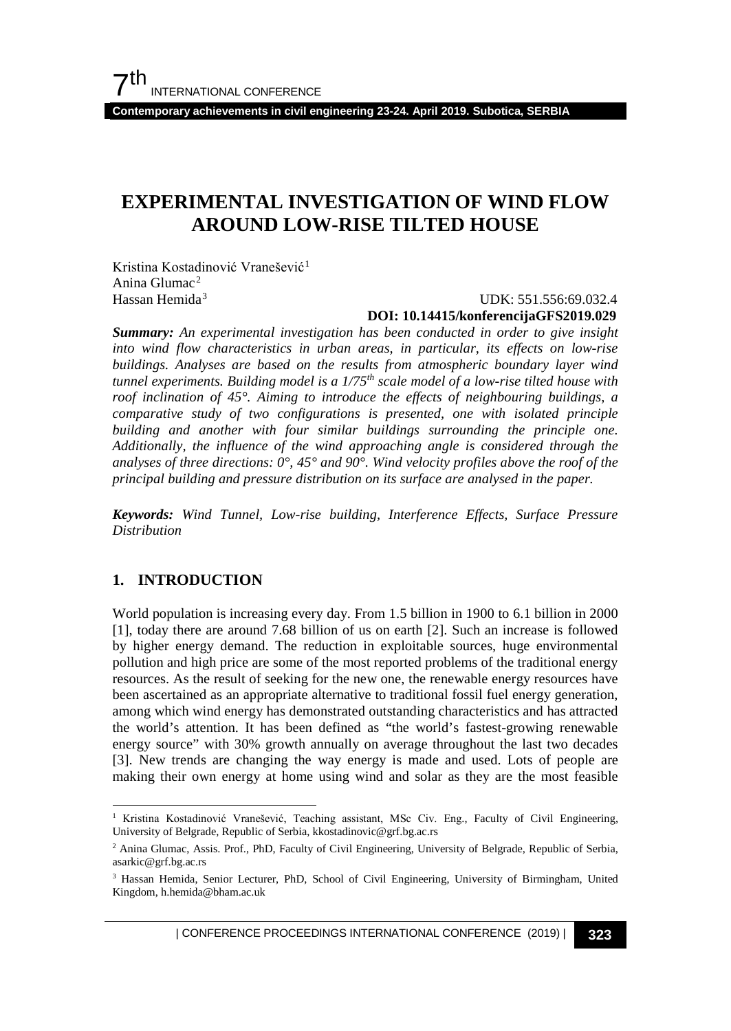**Contemporary achievements in civil engineering 23-24. April 2019. Subotica, SERBIA**

## **EXPERIMENTAL INVESTIGATION OF WIND FLOW AROUND LOW-RISE TILTED HOUSE**

Kristina Kostadinović Vranešević<sup>[1](#page-0-0)</sup> Anina Glumac[2](#page-0-1) Hassan Hemida<sup>[3](#page-0-2)</sup>

#### UDK: 551.556:69.032.4 **DOI: 10.14415/konferencijaGFS2019.029**

*Summary: An experimental investigation has been conducted in order to give insight into wind flow characteristics in urban areas, in particular, its effects on low-rise buildings. Analyses are based on the results from atmospheric boundary layer wind tunnel experiments. Building model is a 1/75th scale model of a low-rise tilted house with roof inclination of 45°. Aiming to introduce the effects of neighbouring buildings, a comparative study of two configurations is presented, one with isolated principle building and another with four similar buildings surrounding the principle one. Additionally, the influence of the wind approaching angle is considered through the analyses of three directions: 0°, 45° and 90°. Wind velocity profiles above the roof of the principal building and pressure distribution on its surface are analysed in the paper.*

*Keywords: Wind Tunnel, Low-rise building, Interference Effects, Surface Pressure Distribution*

## **1. INTRODUCTION**

World population is increasing every day. From 1.5 billion in 1900 to 6.1 billion in 2000 [1], today there are around 7.68 billion of us on earth [2]. Such an increase is followed by higher energy demand. The reduction in exploitable sources, huge environmental pollution and high price are some of the most reported problems of the traditional energy resources. As the result of seeking for the new one, the renewable energy resources have been ascertained as an appropriate alternative to traditional fossil fuel energy generation, among which wind energy has demonstrated outstanding characteristics and has attracted the world's attention. It has been defined as "the world's fastest-growing renewable energy source" with 30% growth annually on average throughout the last two decades [3]. New trends are changing the way energy is made and used. Lots of people are making their own energy at home using wind and solar as they are the most feasible

<span id="page-0-0"></span><sup>&</sup>lt;sup>1</sup> Kristina Kostadinović Vranešević, Teaching assistant, MSc Civ. Eng., Faculty of Civil Engineering, University of Belgrade, Republic of Serbia, kkostadinovic@grf.bg.ac.rs

<span id="page-0-1"></span><sup>2</sup> Anina Glumac, Assis. Prof., PhD, Faculty of Civil Engineering, University of Belgrade, Republic of Serbia, asarkic@grf.bg.ac.rs

<span id="page-0-2"></span><sup>3</sup> Hassan Hemida, Senior Lecturer, PhD, School of Civil Engineering, University of Birmingham, United Kingdom, h.hemida@bham.ac.uk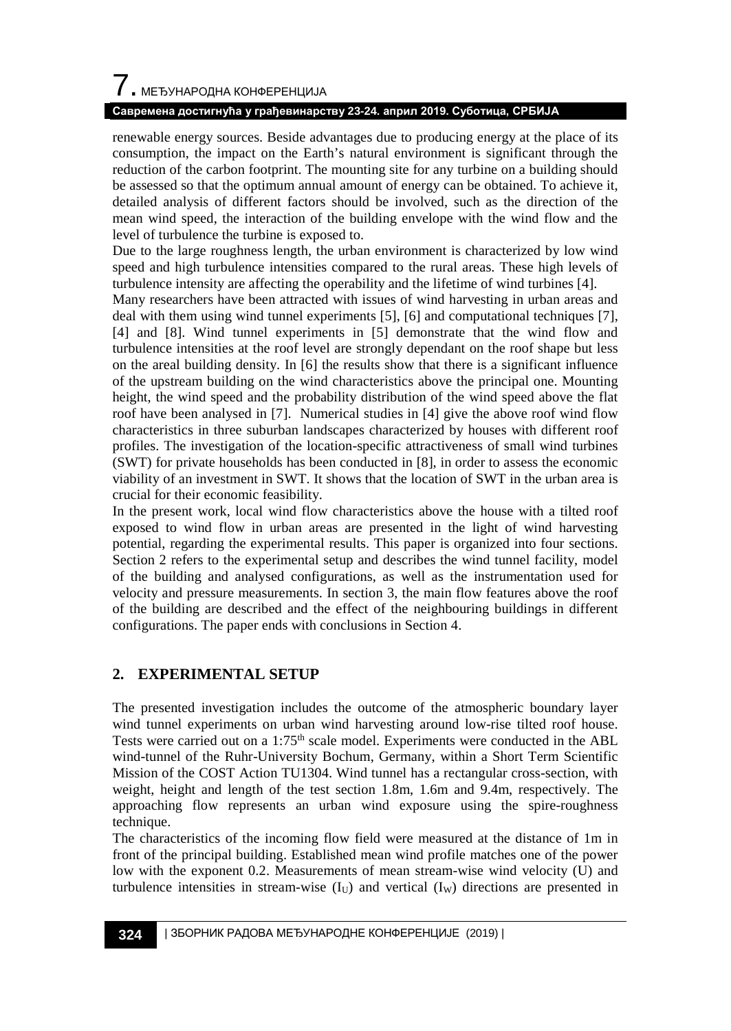# $\overline{\phantom{a}}$ . МЕЂУНАРОДНА КОНФЕРЕНЦИЈА

## **Савремена достигнућа у грађевинарству 23-24. април 2019. Суботица, СРБИЈА**

renewable energy sources. Beside advantages due to producing energy at the place of its consumption, the impact on the Earth's natural environment is significant through the reduction of the carbon footprint. The mounting site for any turbine on a building should be assessed so that the optimum annual amount of energy can be obtained. To achieve it, detailed analysis of different factors should be involved, such as the direction of the mean wind speed, the interaction of the building envelope with the wind flow and the level of turbulence the turbine is exposed to.

Due to the large roughness length, the urban environment is characterized by low wind speed and high turbulence intensities compared to the rural areas. These high levels of turbulence intensity are affecting the operability and the lifetime of wind turbines [4].

Many researchers have been attracted with issues of wind harvesting in urban areas and deal with them using wind tunnel experiments [5], [6] and computational techniques [7], [4] and [8]. Wind tunnel experiments in [5] demonstrate that the wind flow and turbulence intensities at the roof level are strongly dependant on the roof shape but less on the areal building density. In [6] the results show that there is a significant influence of the upstream building on the wind characteristics above the principal one. Mounting height, the wind speed and the probability distribution of the wind speed above the flat roof have been analysed in [7]. Numerical studies in [4] give the above roof wind flow characteristics in three suburban landscapes characterized by houses with different roof profiles. The investigation of the location-specific attractiveness of small wind turbines (SWT) for private households has been conducted in [8], in order to assess the economic viability of an investment in SWT. It shows that the location of SWT in the urban area is crucial for their economic feasibility.

In the present work, local wind flow characteristics above the house with a tilted roof exposed to wind flow in urban areas are presented in the light of wind harvesting potential, regarding the experimental results. This paper is organized into four sections. Section 2 refers to the experimental setup and describes the wind tunnel facility, model of the building and analysed configurations, as well as the instrumentation used for velocity and pressure measurements. In section 3, the main flow features above the roof of the building are described and the effect of the neighbouring buildings in different configurations. The paper ends with conclusions in Section 4.

## **2. EXPERIMENTAL SETUP**

The presented investigation includes the outcome of the atmospheric boundary layer wind tunnel experiments on urban wind harvesting around low-rise tilted roof house. Tests were carried out on a 1:75<sup>th</sup> scale model. Experiments were conducted in the ABL wind-tunnel of the Ruhr-University Bochum, Germany, within a Short Term Scientific Mission of the COST Action TU1304. Wind tunnel has a rectangular cross-section, with weight, height and length of the test section 1.8m, 1.6m and 9.4m, respectively. The approaching flow represents an urban wind exposure using the spire-roughness technique.

The characteristics of the incoming flow field were measured at the distance of 1m in front of the principal building. Established mean wind profile matches one of the power low with the exponent 0.2. Measurements of mean stream-wise wind velocity (U) and turbulence intensities in stream-wise  $(I_U)$  and vertical  $(I_W)$  directions are presented in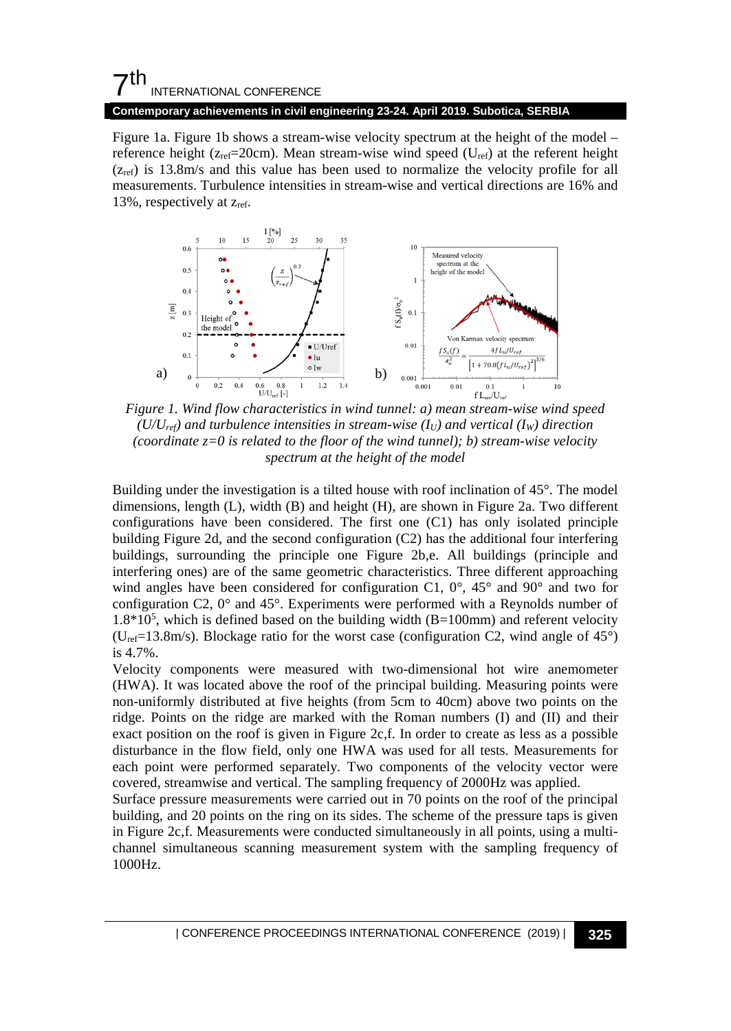## $7<sup>th</sup>$ INTERNATIONAL CONFERENCE

#### **Contemporary achievements in civil engineering 23-24. April 2019. Subotica, SERBIA**

[Figure 1a](#page-2-0). [Figure 1b](#page-2-0) shows a stream-wise velocity spectrum at the height of the model – reference height ( $z_{ref}=20$ cm). Mean stream-wise wind speed ( $U_{ref}$ ) at the referent height  $(z_{\text{ref}})$  is 13.8m/s and this value has been used to normalize the velocity profile for all measurements. Turbulence intensities in stream-wise and vertical directions are 16% and 13%, respectively at zref.



<span id="page-2-0"></span> $(U/U_{ref})$  and turbulence intensities in stream-wise  $(I_U)$  and vertical  $(I_W)$  direction *(coordinate z=0 is related to the floor of the wind tunnel); b) stream-wise velocity spectrum at the height of the model*

Building under the investigation is a tilted house with roof inclination of 45°. The model dimensions, length (L), width (B) and height (H), are shown in [Figure 2a](#page-3-0). Two different configurations have been considered. The first one (C1) has only isolated principle building [Figure 2d](#page-3-0), and the second configuration (C2) has the additional four interfering buildings, surrounding the principle one [Figure 2b](#page-3-0),e. All buildings (principle and interfering ones) are of the same geometric characteristics. Three different approaching wind angles have been considered for configuration C1,  $0^\circ$ ,  $45^\circ$  and  $90^\circ$  and two for configuration C2, 0° and 45°. Experiments were performed with a Reynolds number of 1.8\*105 , which is defined based on the building width (B=100mm) and referent velocity ( $U_{ref}=13.8$ m/s). Blockage ratio for the worst case (configuration C2, wind angle of 45°) is 4.7%.

Velocity components were measured with two-dimensional hot wire anemometer (HWA). It was located above the roof of the principal building. Measuring points were non-uniformly distributed at five heights (from 5cm to 40cm) above two points on the ridge. Points on the ridge are marked with the Roman numbers (I) and (II) and their exact position on the roof is given in [Figure 2c](#page-3-0),f. In order to create as less as a possible disturbance in the flow field, only one HWA was used for all tests. Measurements for each point were performed separately. Two components of the velocity vector were covered, streamwise and vertical. The sampling frequency of 2000Hz was applied.

Surface pressure measurements were carried out in 70 points on the roof of the principal building, and 20 points on the ring on its sides. The scheme of the pressure taps is given i[n Figure 2c](#page-3-0),f. Measurements were conducted simultaneously in all points, using a multichannel simultaneous scanning measurement system with the sampling frequency of 1000Hz.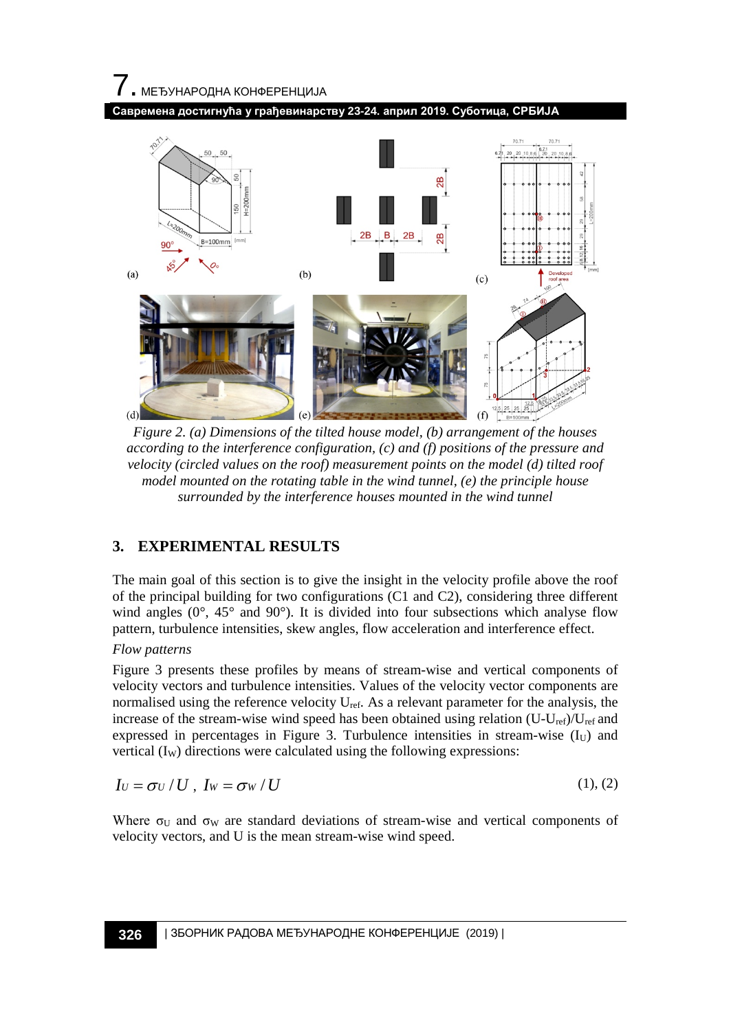



<span id="page-3-0"></span>*Figure 2. (a) Dimensions of the tilted house model, (b) arrangement of the houses according to the interference configuration, (c) and (f) positions of the pressure and velocity (circled values on the roof) measurement points on the model (d) tilted roof model mounted on the rotating table in the wind tunnel, (e) the principle house surrounded by the interference houses mounted in the wind tunnel*

## **3. EXPERIMENTAL RESULTS**

The main goal of this section is to give the insight in the velocity profile above the roof of the principal building for two configurations (C1 and C2), considering three different wind angles (0°, 45° and 90°). It is divided into four subsections which analyse flow pattern, turbulence intensities, skew angles, flow acceleration and interference effect.

## *Flow patterns*

[Figure 3](#page-4-0) presents these profiles by means of stream-wise and vertical components of velocity vectors and turbulence intensities. Values of the velocity vector components are normalised using the reference velocity  $U_{ref}$ . As a relevant parameter for the analysis, the increase of the stream-wise wind speed has been obtained using relation  $(U-U_{ref})/U_{ref}$  and expressed in percentages in [Figure 3.](#page-4-0) Turbulence intensities in stream-wise  $(I_U)$  and vertical  $(I_W)$  directions were calculated using the following expressions:

$$
I_U = \sigma_U / U , I_W = \sigma_W / U \tag{1}, (2)
$$

Where  $\sigma_U$  and  $\sigma_W$  are standard deviations of stream-wise and vertical components of velocity vectors, and U is the mean stream-wise wind speed.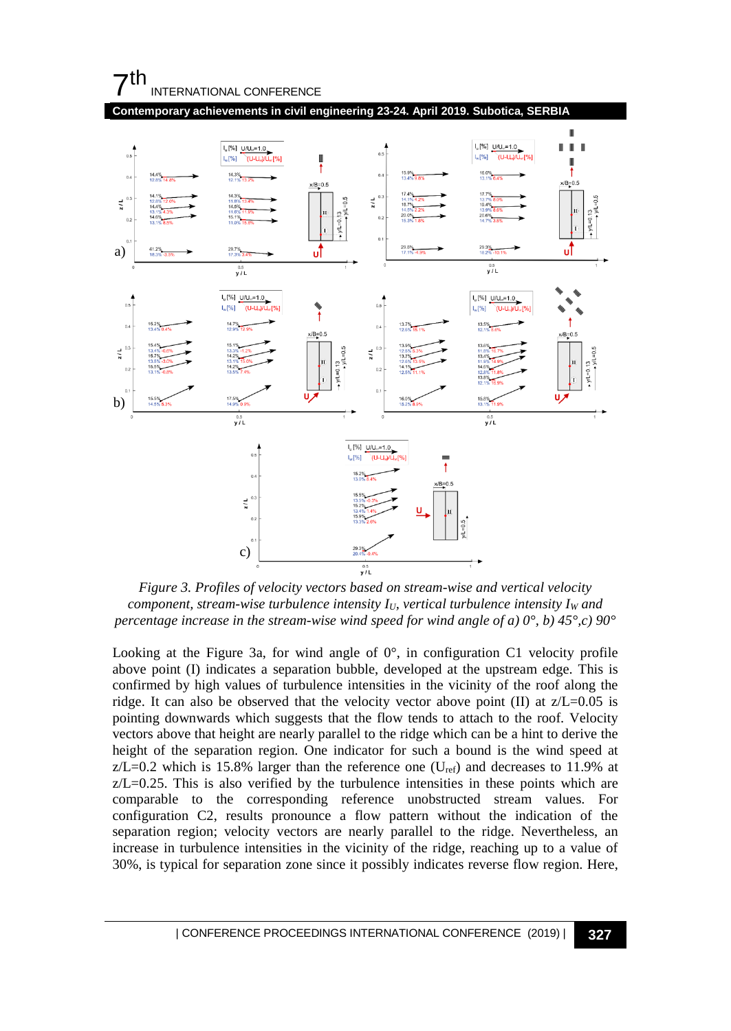## $7<sup>th</sup>$ INTERNATIONAL CONFERENCE



<span id="page-4-0"></span>*Figure 3. Profiles of velocity vectors based on stream-wise and vertical velocity component, stream-wise turbulence intensity*  $I_U$ *, vertical turbulence intensity I<sub>W</sub> and percentage increase in the stream-wise wind speed for wind angle of a) 0°, b) 45°,c) 90°*

Looking at the [Figure 3a](#page-4-0), for wind angle of  $0^\circ$ , in configuration C1 velocity profile above point (I) indicates a separation bubble, developed at the upstream edge. This is confirmed by high values of turbulence intensities in the vicinity of the roof along the ridge. It can also be observed that the velocity vector above point  $(II)$  at  $z/L=0.05$  is pointing downwards which suggests that the flow tends to attach to the roof. Velocity vectors above that height are nearly parallel to the ridge which can be a hint to derive the height of the separation region. One indicator for such a bound is the wind speed at  $z/L=0.2$  which is 15.8% larger than the reference one (U<sub>ref</sub>) and decreases to 11.9% at  $z/L = 0.25$ . This is also verified by the turbulence intensities in these points which are comparable to the corresponding reference unobstructed stream values. For configuration C2, results pronounce a flow pattern without the indication of the separation region; velocity vectors are nearly parallel to the ridge. Nevertheless, an increase in turbulence intensities in the vicinity of the ridge, reaching up to a value of 30%, is typical for separation zone since it possibly indicates reverse flow region. Here,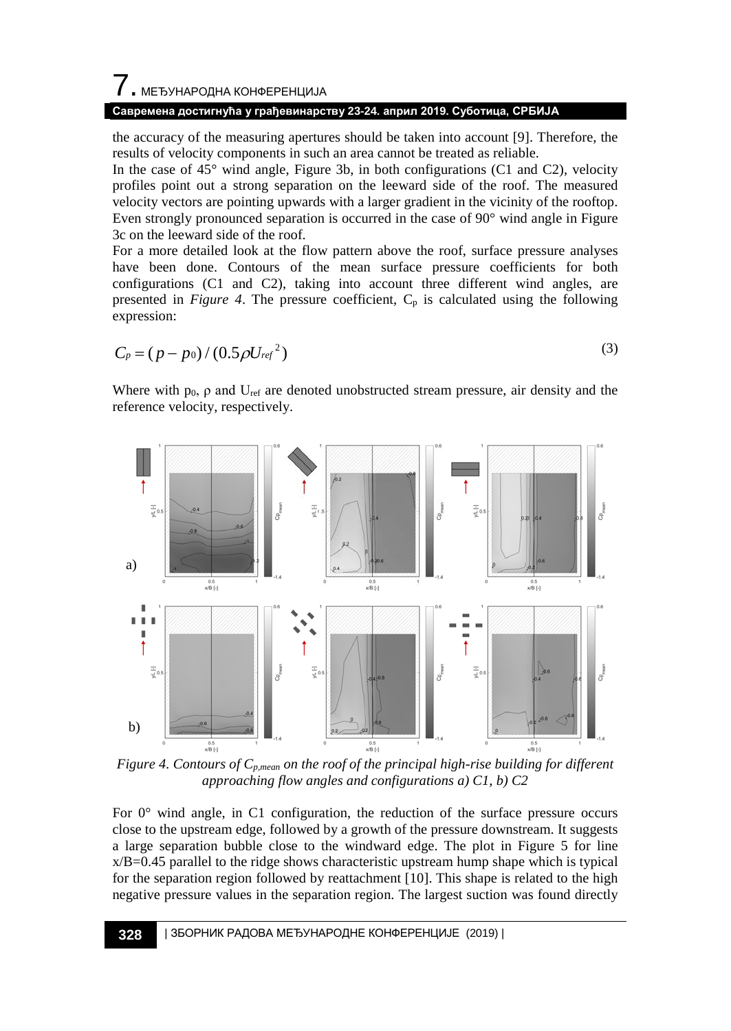## 7. МЕЂУНАРОДНА КОНФЕРЕНЦИЈА

## **Савремена достигнућа у грађевинарству 23-24. април 2019. Суботица, СРБИЈА**

the accuracy of the measuring apertures should be taken into account [9]. Therefore, the results of velocity components in such an area cannot be treated as reliable.

In the case of 45° wind angle, [Figure 3b](#page-4-0), in both configurations (C1 and C2), velocity profiles point out a strong separation on the leeward side of the roof. The measured velocity vectors are pointing upwards with a larger gradient in the vicinity of the rooftop. Even strongly pronounced separation is occurred in the case of 90° wind angle in [Figure](#page-4-0)  [3c](#page-4-0) on the leeward side of the roof.

For a more detailed look at the flow pattern above the roof, surface pressure analyses have been done. Contours of the mean surface pressure coefficients for both configurations (C1 and C2), taking into account three different wind angles, are presented in *[Figure 4](#page-5-0)*. The pressure coefficient,  $C_p$  is calculated using the following expression:

$$
C_p = (p - p_0) / (0.5 \rho U_{ref}{}^2)
$$
 (3)

Where with  $p_0$ ,  $\rho$  and  $U_{ref}$  are denoted unobstructed stream pressure, air density and the reference velocity, respectively.



<span id="page-5-0"></span>*Figure 4. Contours of Cp,mean on the roof of the principal high-rise building for different approaching flow angles and configurations a) C1, b) C2*

For  $0^{\circ}$  wind angle, in C1 configuration, the reduction of the surface pressure occurs close to the upstream edge, followed by a growth of the pressure downstream. It suggests a large separation bubble close to the windward edge. The plot in [Figure 5](#page-6-0) for line  $x/B = 0.45$  parallel to the ridge shows characteristic upstream hump shape which is typical for the separation region followed by reattachment [10]. This shape is related to the high negative pressure values in the separation region. The largest suction was found directly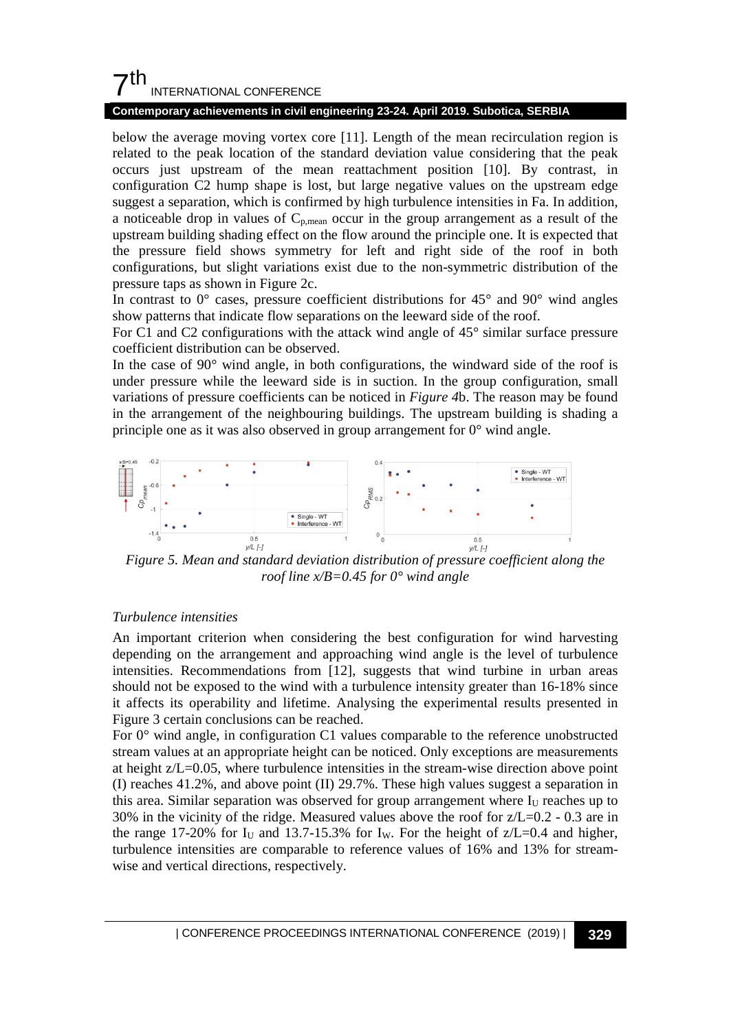## $7<sup>th</sup>$ INTERNATIONAL CONFERENCE

#### **Contemporary achievements in civil engineering 23-24. April 2019. Subotica, SERBIA**

below the average moving vortex core [11]. Length of the mean recirculation region is related to the peak location of the standard deviation value considering that the peak occurs just upstream of the mean reattachment position [10]. By contrast, in configuration C2 hump shape is lost, but large negative values on the upstream edge suggest a separation, which is confirmed by high turbulence intensities in Fa. In addition, a noticeable drop in values of  $C_{p,mean}$  occur in the group arrangement as a result of the upstream building shading effect on the flow around the principle one. It is expected that the pressure field shows symmetry for left and right side of the roof in both configurations, but slight variations exist due to the non-symmetric distribution of the pressure taps as shown i[n Figure 2c](#page-3-0).

In contrast to  $0^{\circ}$  cases, pressure coefficient distributions for 45 $^{\circ}$  and 90 $^{\circ}$  wind angles show patterns that indicate flow separations on the leeward side of the roof.

For C1 and C2 configurations with the attack wind angle of 45° similar surface pressure coefficient distribution can be observed.

In the case of 90° wind angle, in both configurations, the windward side of the roof is under pressure while the leeward side is in suction. In the group configuration, small variations of pressure coefficients can be noticed in *[Figure 4](#page-5-0)*b. The reason may be found in the arrangement of the neighbouring buildings. The upstream building is shading a principle one as it was also observed in group arrangement for 0° wind angle.



<span id="page-6-0"></span>*Figure 5. Mean and standard deviation distribution of pressure coefficient along the roof line x/B=0.45 for 0° wind angle*

### *Turbulence intensities*

An important criterion when considering the best configuration for wind harvesting depending on the arrangement and approaching wind angle is the level of turbulence intensities. Recommendations from [12], suggests that wind turbine in urban areas should not be exposed to the wind with a turbulence intensity greater than 16-18% since it affects its operability and lifetime. Analysing the experimental results presented in [Figure 3](#page-4-0) certain conclusions can be reached.

For 0° wind angle, in configuration C1 values comparable to the reference unobstructed stream values at an appropriate height can be noticed. Only exceptions are measurements at height z/L=0.05, where turbulence intensities in the stream-wise direction above point (I) reaches 41.2%, and above point (II) 29.7%. These high values suggest a separation in this area. Similar separation was observed for group arrangement where  $I_U$  reaches up to 30% in the vicinity of the ridge. Measured values above the roof for  $z/L=0.2$  - 0.3 are in the range 17-20% for  $I_U$  and 13.7-15.3% for  $I_W$ . For the height of  $Z/L=0.4$  and higher, turbulence intensities are comparable to reference values of 16% and 13% for streamwise and vertical directions, respectively.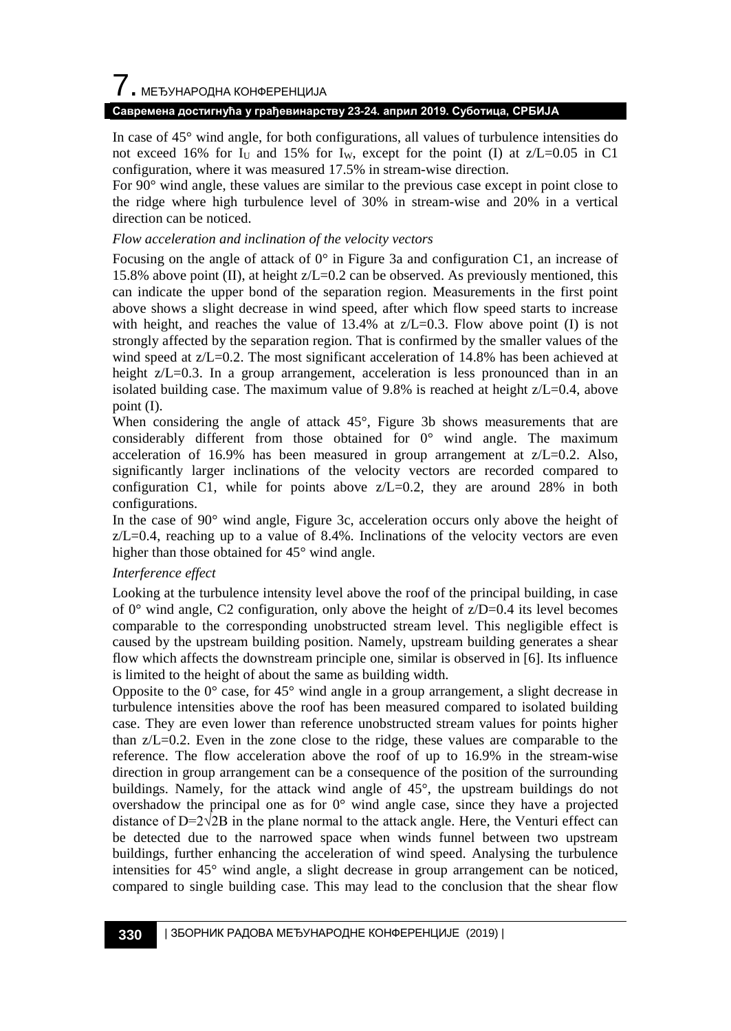## $\overline{7}$ . МЕЂУНАРОДНА КОНФЕРЕНЦИЈА

## **Савремена достигнућа у грађевинарству 23-24. април 2019. Суботица, СРБИЈА**

In case of 45° wind angle, for both configurations, all values of turbulence intensities do not exceed 16% for  $I_U$  and 15% for  $I_W$ , except for the point (I) at  $Z/L=0.05$  in C1 configuration, where it was measured 17.5% in stream-wise direction.

For 90° wind angle, these values are similar to the previous case except in point close to the ridge where high turbulence level of 30% in stream-wise and 20% in a vertical direction can be noticed.

## *Flow acceleration and inclination of the velocity vectors*

Focusing on the angle of attack of 0° in [Figure 3a](#page-4-0) and configuration C1, an increase of 15.8% above point (II), at height z/L=0.2 can be observed. As previously mentioned, this can indicate the upper bond of the separation region. Measurements in the first point above shows a slight decrease in wind speed, after which flow speed starts to increase with height, and reaches the value of 13.4% at  $z/L=0.3$ . Flow above point (I) is not strongly affected by the separation region. That is confirmed by the smaller values of the wind speed at  $z/L=0.2$ . The most significant acceleration of 14.8% has been achieved at height z/L=0.3. In a group arrangement, acceleration is less pronounced than in an isolated building case. The maximum value of 9.8% is reached at height z/L=0.4, above point (I).

When considering the angle of attack 45°, [Figure 3b](#page-4-0) shows measurements that are considerably different from those obtained for 0° wind angle. The maximum acceleration of 16.9% has been measured in group arrangement at  $z/L=0.2$ . Also, significantly larger inclinations of the velocity vectors are recorded compared to configuration C1, while for points above  $Z/L=0.2$ , they are around 28% in both configurations.

In the case of 90° wind angle, [Figure 3c](#page-4-0), acceleration occurs only above the height of  $z/L = 0.4$ , reaching up to a value of 8.4%. Inclinations of the velocity vectors are even higher than those obtained for 45° wind angle.

## *Interference effect*

Looking at the turbulence intensity level above the roof of the principal building, in case of  $0^{\circ}$  wind angle, C2 configuration, only above the height of  $z/D=0.4$  its level becomes comparable to the corresponding unobstructed stream level. This negligible effect is caused by the upstream building position. Namely, upstream building generates a shear flow which affects the downstream principle one, similar is observed in [6]. Its influence is limited to the height of about the same as building width.

Opposite to the  $0^{\circ}$  case, for 45° wind angle in a group arrangement, a slight decrease in turbulence intensities above the roof has been measured compared to isolated building case. They are even lower than reference unobstructed stream values for points higher than z/L=0.2. Even in the zone close to the ridge, these values are comparable to the reference. The flow acceleration above the roof of up to 16.9% in the stream-wise direction in group arrangement can be a consequence of the position of the surrounding buildings. Namely, for the attack wind angle of 45°, the upstream buildings do not overshadow the principal one as for  $0^{\circ}$  wind angle case, since they have a projected distance of  $D=2\sqrt{2}B$  in the plane normal to the attack angle. Here, the Venturi effect can be detected due to the narrowed space when winds funnel between two upstream buildings, further enhancing the acceleration of wind speed. Analysing the turbulence intensities for 45° wind angle, a slight decrease in group arrangement can be noticed, compared to single building case. This may lead to the conclusion that the shear flow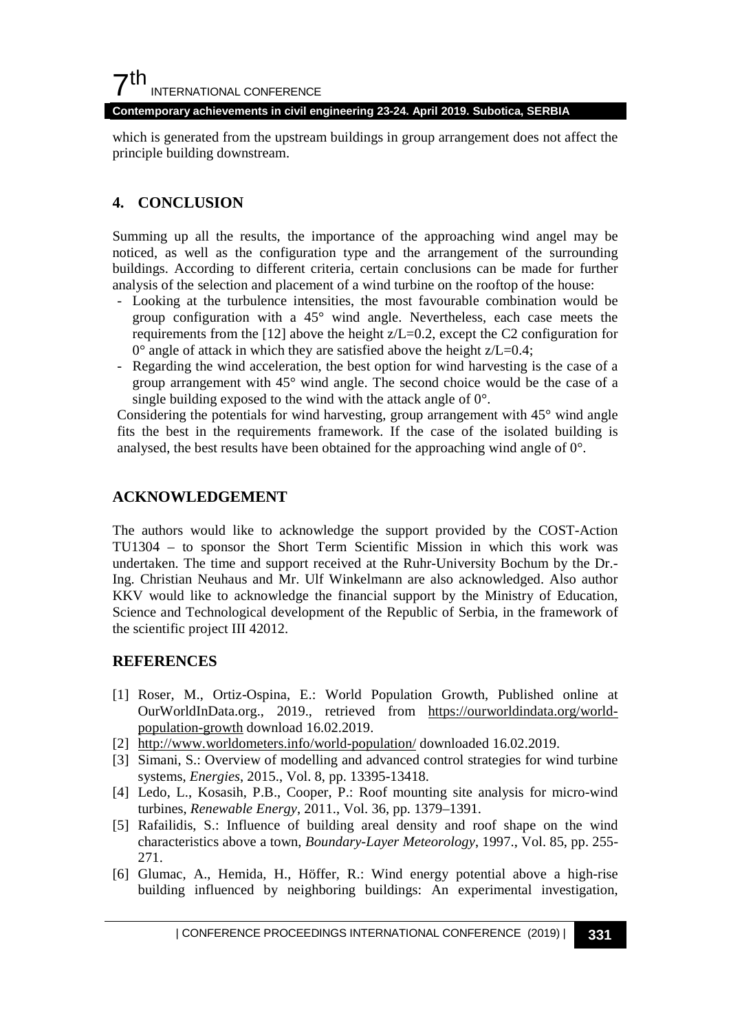**Contemporary achievements in civil engineering 23-24. April 2019. Subotica, SERBIA**

which is generated from the upstream buildings in group arrangement does not affect the principle building downstream.

## **4. CONCLUSION**

Summing up all the results, the importance of the approaching wind angel may be noticed, as well as the configuration type and the arrangement of the surrounding buildings. According to different criteria, certain conclusions can be made for further analysis of the selection and placement of a wind turbine on the rooftop of the house:

- Looking at the turbulence intensities, the most favourable combination would be group configuration with a 45° wind angle. Nevertheless, each case meets the requirements from the [12] above the height z/L=0.2, except the C2 configuration for  $0^{\circ}$  angle of attack in which they are satisfied above the height z/L=0.4;
- Regarding the wind acceleration, the best option for wind harvesting is the case of a group arrangement with 45° wind angle. The second choice would be the case of a single building exposed to the wind with the attack angle of 0°.

Considering the potentials for wind harvesting, group arrangement with 45° wind angle fits the best in the requirements framework. If the case of the isolated building is analysed, the best results have been obtained for the approaching wind angle of 0°.

## **ACKNOWLEDGEMENT**

The authors would like to acknowledge the support provided by the COST-Action TU1304 – to sponsor the Short Term Scientific Mission in which this work was undertaken. The time and support received at the Ruhr-University Bochum by the Dr.- Ing. Christian Neuhaus and Mr. Ulf Winkelmann are also acknowledged. Also author KKV would like to acknowledge the financial support by the Ministry of Education, Science and Technological development of the Republic of Serbia, in the framework of the scientific project III 42012.

## **REFERENCES**

- [1] Roser, M., Ortiz-Ospina, E.: World Population Growth, Published online at OurWorldInData.org., 2019., retrieved from [https://ourworldindata.org/world](https://ourworldindata.org/world-population-growth)[population-growth](https://ourworldindata.org/world-population-growth) download 16.02.2019.
- [2] <http://www.worldometers.info/world-population/> downloaded 16.02.2019.
- [3] Simani, S.: Overview of modelling and advanced control strategies for wind turbine systems, *Energies*, 2015., Vol. 8, pp. 13395-13418.
- [4] Ledo, L., Kosasih, P.B., Cooper, P.: Roof mounting site analysis for micro-wind turbines, *Renewable Energy*, 2011., Vol. 36, pp. 1379–1391.
- [5] Rafailidis, S.: Influence of building areal density and roof shape on the wind characteristics above a town, *Boundary-Layer Meteorology*, 1997., Vol. 85, pp. 255- 271.
- [6] Glumac, A., Hemida, H., Höffer, R.: Wind energy potential above a high-rise building influenced by neighboring buildings: An experimental investigation,